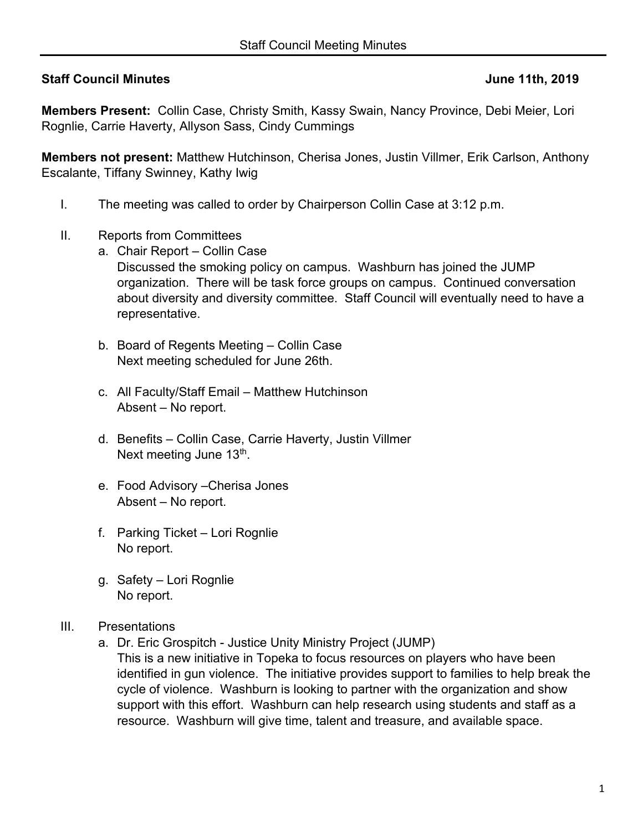## **Staff Council Minutes 3.1 Staff Council Minutes 3.1 Staff Council Minutes 3.1 Staff Council Minutes 3.1 Staff Council Minutes 3.1 Staff Council Minutes 3.1 Staff Council Minutes 3.1 Staff Council Minutes 3.1 Staff Council**

**Members Present:** Collin Case, Christy Smith, Kassy Swain, Nancy Province, Debi Meier, Lori Rognlie, Carrie Haverty, Allyson Sass, Cindy Cummings

**Members not present:** Matthew Hutchinson, Cherisa Jones, Justin Villmer, Erik Carlson, Anthony Escalante, Tiffany Swinney, Kathy Iwig

- I. The meeting was called to order by Chairperson Collin Case at 3:12 p.m.
- II. Reports from Committees
	- a. Chair Report Collin Case Discussed the smoking policy on campus. Washburn has joined the JUMP organization. There will be task force groups on campus. Continued conversation about diversity and diversity committee. Staff Council will eventually need to have a representative.
	- b. Board of Regents Meeting Collin Case Next meeting scheduled for June 26th.
	- c. All Faculty/Staff Email Matthew Hutchinson Absent – No report.
	- d. Benefits Collin Case, Carrie Haverty, Justin Villmer Next meeting June 13<sup>th</sup>.
	- e. Food Advisory –Cherisa Jones Absent – No report.
	- f. Parking Ticket Lori Rognlie No report.
	- g. Safety Lori Rognlie No report.
- III. Presentations
	- a. Dr. Eric Grospitch Justice Unity Ministry Project (JUMP)
		- This is a new initiative in Topeka to focus resources on players who have been identified in gun violence. The initiative provides support to families to help break the cycle of violence. Washburn is looking to partner with the organization and show support with this effort. Washburn can help research using students and staff as a resource. Washburn will give time, talent and treasure, and available space.